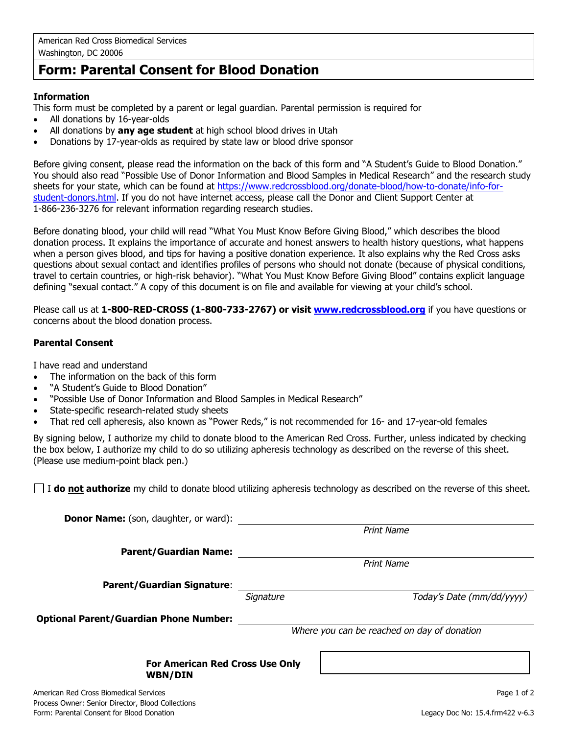# **Form: Parental Consent for Blood Donation**

# **Information**

This form must be completed by a parent or legal guardian. Parental permission is required for

- All donations by 16-year-olds
- All donations by **any age student** at high school blood drives in Utah
- Donations by 17-year-olds as required by state law or blood drive sponsor

Before giving consent, please read the information on the back of this form and "A Student's Guide to Blood Donation." You should also read "Possible Use of Donor Information and Blood Samples in Medical Research" and the research study sheets for your state, which can be found at [https://www.redcrossblood.org/donate-blood/how-to-donate/info-for](https://www.redcrossblood.org/donate-blood/how-to-donate/info-for-student-donors.html)[student-donors.html.](https://www.redcrossblood.org/donate-blood/how-to-donate/info-for-student-donors.html) If you do not have internet access, please call the Donor and Client Support Center at 1-866-236-3276 for relevant information regarding research studies.

Before donating blood, your child will read "What You Must Know Before Giving Blood," which describes the blood donation process. It explains the importance of accurate and honest answers to health history questions, what happens when a person gives blood, and tips for having a positive donation experience. It also explains why the Red Cross asks questions about sexual contact and identifies profiles of persons who should not donate (because of physical conditions, travel to certain countries, or high-risk behavior). "What You Must Know Before Giving Blood" contains explicit language defining "sexual contact." A copy of this document is on file and available for viewing at your child's school.

Please call us at **1-800-RED-CROSS (1-800-733-2767) or visit [www.redcrossblood.org](http://www.redcrossblood.org/)** if you have questions or concerns about the blood donation process.

# **Parental Consent**

I have read and understand

- The information on the back of this form
- "A Student's Guide to Blood Donation"
- "Possible Use of Donor Information and Blood Samples in Medical Research"
- State-specific research-related study sheets
- That red cell apheresis, also known as "Power Reds," is not recommended for 16- and 17-year-old females

By signing below, I authorize my child to donate blood to the American Red Cross. Further, unless indicated by checking the box below, I authorize my child to do so utilizing apheresis technology as described on the reverse of this sheet. (Please use medium-point black pen.)

I **do not authorize** my child to donate blood utilizing apheresis technology as described on the reverse of this sheet.

| <b>Donor Name:</b> (son, daughter, or ward):             |                                             |                   |                           |
|----------------------------------------------------------|---------------------------------------------|-------------------|---------------------------|
|                                                          |                                             | <b>Print Name</b> |                           |
| <b>Parent/Guardian Name:</b>                             |                                             |                   |                           |
|                                                          |                                             | <b>Print Name</b> |                           |
| <b>Parent/Guardian Signature:</b>                        |                                             |                   |                           |
|                                                          | Signature                                   |                   | Today's Date (mm/dd/yyyy) |
| <b>Optional Parent/Guardian Phone Number:</b>            |                                             |                   |                           |
|                                                          | Where you can be reached on day of donation |                   |                           |
|                                                          |                                             |                   |                           |
| <b>For American Red Cross Use Only</b><br><b>WBN/DIN</b> |                                             |                   |                           |
| American Red Cross Biomedical Services                   |                                             |                   | Page 1 of 2               |
| Process Owner: Senior Director, Blood Collections        |                                             |                   |                           |